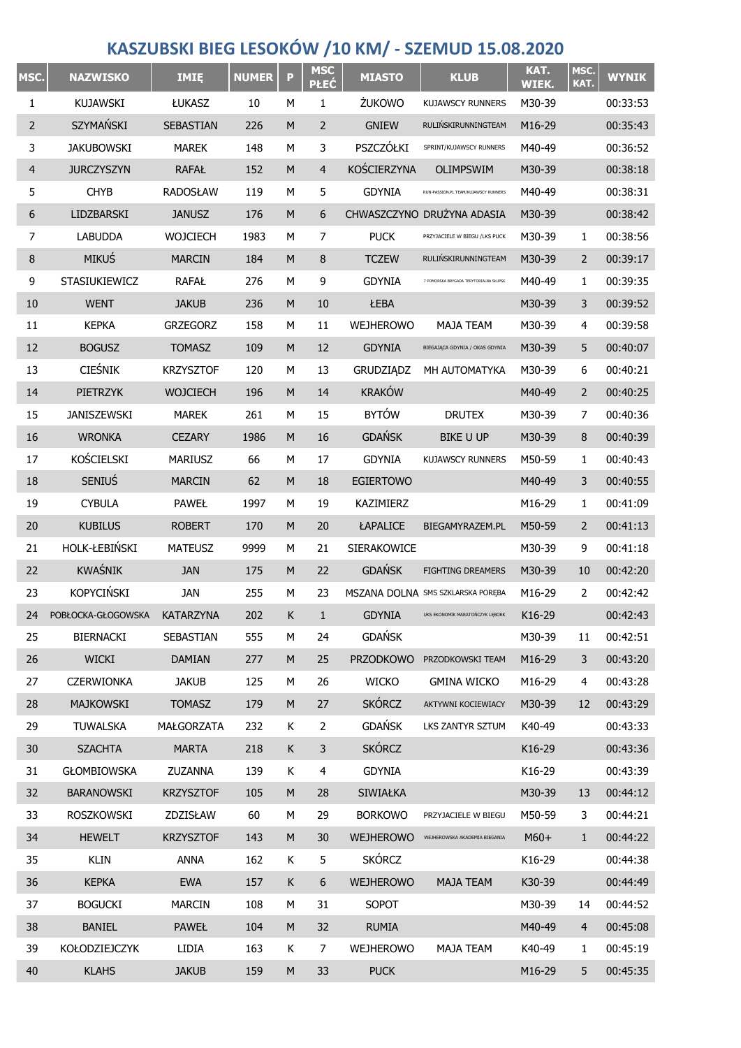## **KASZUBSKI BIEG LESOKÓW /10 KM/ - SZEMUD 15.08.2020**

| MSC.           | <b>NAZWISKO</b>      | <b>IMIE</b>      | <b>NUMER</b> | P         | <b>MSC</b><br><b>PŁEĆ</b> | <b>MIASTO</b>    | <b>KLUB</b>                            | KAT.<br>WIEK. | MSC.<br>KAT.   | <b>WYNIK</b> |
|----------------|----------------------|------------------|--------------|-----------|---------------------------|------------------|----------------------------------------|---------------|----------------|--------------|
| 1              | <b>KUJAWSKI</b>      | ŁUKASZ           | 10           | М         | 1                         | ŻUKOWO           | KUJAWSCY RUNNERS                       | M30-39        |                | 00:33:53     |
| 2              | SZYMAŃSKI            | SEBASTIAN        | 226          | M         | $\overline{2}$            | <b>GNIEW</b>     | RULIŃSKIRUNNINGTEAM                    | M16-29        |                | 00:35:43     |
| 3              | <b>JAKUBOWSKI</b>    | <b>MAREK</b>     | 148          | М         | 3                         | PSZCZÓŁKI        | SPRINT/KUJAWSCY RUNNERS                | M40-49        |                | 00:36:52     |
| $\overline{4}$ | <b>JURCZYSZYN</b>    | <b>RAFAŁ</b>     | 152          | M         | $\overline{4}$            | KOŚCIERZYNA      | <b>OLIMPSWIM</b>                       | M30-39        |                | 00:38:18     |
| 5              | <b>CHYB</b>          | <b>RADOSŁAW</b>  | 119          | М         | 5                         | <b>GDYNIA</b>    | RUN-PASSION.PL TEAM/KUJAWSCY RUNNERS   | M40-49        |                | 00:38:31     |
| 6              | LIDZBARSKI           | <b>JANUSZ</b>    | 176          | M         | 6                         |                  | CHWASZCZYNO DRUŻYNA ADASIA             | M30-39        |                | 00:38:42     |
| 7              | <b>LABUDDA</b>       | WOJCIECH         | 1983         | М         | 7                         | <b>PUCK</b>      | PRZYJACIELE W BIEGU /LKS PUCK          | M30-39        | 1              | 00:38:56     |
| 8              | <b>MIKUŚ</b>         | <b>MARCIN</b>    | 184          | M         | 8                         | <b>TCZEW</b>     | RULIŃSKIRUNNINGTEAM                    | M30-39        | $\overline{2}$ | 00:39:17     |
| 9              | STASIUKIEWICZ        | <b>RAFAŁ</b>     | 276          | М         | 9                         | <b>GDYNIA</b>    | 7 POMORSKA BRYGADA TERYTORIALNA SŁUPSK | M40-49        | 1              | 00:39:35     |
| 10             | <b>WENT</b>          | <b>JAKUB</b>     | 236          | M         | 10                        | ŁEBA             |                                        | M30-39        | 3              | 00:39:52     |
| 11             | <b>KEPKA</b>         | <b>GRZEGORZ</b>  | 158          | М         | 11                        | <b>WEJHEROWO</b> | <b>MAJA TEAM</b>                       | M30-39        | 4              | 00:39:58     |
| 12             | <b>BOGUSZ</b>        | <b>TOMASZ</b>    | 109          | M         | 12                        | <b>GDYNIA</b>    | BIEGAJĄCA GDYNIA / OKAS GDYNIA         | M30-39        | 5              | 00:40:07     |
| 13             | <b>CIEŚNIK</b>       | <b>KRZYSZTOF</b> | 120          | М         | 13                        | <b>GRUDZIĄDZ</b> | MH AUTOMATYKA                          | M30-39        | 6              | 00:40:21     |
| 14             | PIETRZYK             | <b>WOJCIECH</b>  | 196          | M         | 14                        | <b>KRAKÓW</b>    |                                        | M40-49        | 2              | 00:40:25     |
| 15             | <b>JANISZEWSKI</b>   | <b>MAREK</b>     | 261          | М         | 15                        | <b>BYTÓW</b>     | <b>DRUTEX</b>                          | M30-39        | 7              | 00:40:36     |
| 16             | <b>WRONKA</b>        | <b>CEZARY</b>    | 1986         | M         | 16                        | <b>GDAŃSK</b>    | <b>BIKE U UP</b>                       | M30-39        | 8              | 00:40:39     |
| 17             | KOŚCIELSKI           | <b>MARIUSZ</b>   | 66           | М         | 17                        | <b>GDYNIA</b>    | <b>KUJAWSCY RUNNERS</b>                | M50-59        | 1              | 00:40:43     |
| 18             | <b>SENIUS</b>        | <b>MARCIN</b>    | 62           | M         | 18                        | <b>EGIERTOWO</b> |                                        | M40-49        | 3              | 00:40:55     |
| 19             | <b>CYBULA</b>        | <b>PAWEŁ</b>     | 1997         | М         | 19                        | KAZIMIERZ        |                                        | M16-29        | 1              | 00:41:09     |
| 20             | <b>KUBILUS</b>       | <b>ROBERT</b>    | 170          | M         | 20                        | ŁAPALICE         | BIEGAMYRAZEM.PL                        | M50-59        | 2              | 00:41:13     |
| 21             | HOLK-ŁEBIŃSKI        | <b>MATEUSZ</b>   | 9999         | М         | 21                        | SIERAKOWICE      |                                        | M30-39        | 9              | 00:41:18     |
| 22             | KWAŚNIK              | <b>JAN</b>       | 175          | M         | 22                        | <b>GDAŃSK</b>    | <b>FIGHTING DREAMERS</b>               | M30-39        | 10             | 00:42:20     |
| 23             | <b>KOPYCIŃSKI</b>    | JAN              | 255          | М         | 23                        |                  | MSZANA DOLNA SMS SZKLARSKA PORĘBA      | M16-29        | 2              | 00:42:42     |
| 24             | POBŁOCKA-GŁOGOWSKA   | <b>KATARZYNA</b> | 202          | Κ         | 1                         | <b>GDYNIA</b>    | UKS EKONOMIK MARATOŃCZYK LĘBORK        | K16-29        |                | 00:42:43     |
| 25             | <b>BIERNACKI</b>     | SEBASTIAN        | 555          | М         | 24                        | <b>GDAŃSK</b>    |                                        | M30-39        | 11             | 00:42:51     |
| 26             | <b>WICKI</b>         | <b>DAMIAN</b>    | 277          | M         | 25                        | <b>PRZODKOWO</b> | PRZODKOWSKI TEAM                       | M16-29        | 3              | 00:43:20     |
| 27             | <b>CZERWIONKA</b>    | <b>JAKUB</b>     | 125          | М         | 26                        | <b>WICKO</b>     | <b>GMINA WICKO</b>                     | M16-29        | 4              | 00:43:28     |
| 28             | <b>MAJKOWSKI</b>     | <b>TOMASZ</b>    | 179          | M         | 27                        | <b>SKÓRCZ</b>    | AKTYWNI KOCIEWIACY                     | M30-39        | 12             | 00:43:29     |
| 29             | <b>TUWALSKA</b>      | MAŁGORZATA       | 232          | Κ         | $\overline{2}$            | <b>GDAŃSK</b>    | LKS ZANTYR SZTUM                       | K40-49        |                | 00:43:33     |
| 30             | <b>SZACHTA</b>       | <b>MARTA</b>     | 218          | K         | $\mathbf{3}$              | <b>SKÓRCZ</b>    |                                        | K16-29        |                | 00:43:36     |
| 31             | <b>GŁOMBIOWSKA</b>   | ZUZANNA          | 139          | Κ         | $\overline{4}$            | <b>GDYNIA</b>    |                                        | K16-29        |                | 00:43:39     |
| 32             | <b>BARANOWSKI</b>    | <b>KRZYSZTOF</b> | 105          | M         | 28                        | SIWIAŁKA         |                                        | M30-39        | 13             | 00:44:12     |
| 33             | ROSZKOWSKI           | ZDZISŁAW         | 60           | М         | 29                        | <b>BORKOWO</b>   | PRZYJACIELE W BIEGU                    | M50-59        | 3              | 00:44:21     |
| 34             | <b>HEWELT</b>        | <b>KRZYSZTOF</b> | 143          | M         | 30                        | <b>WEJHEROWO</b> | WEJHEROWSKA AKADEMIA BIEGANIA          | $M60+$        | $\mathbf{1}$   | 00:44:22     |
| 35             | <b>KLIN</b>          | <b>ANNA</b>      | 162          | K         | 5                         | <b>SKÓRCZ</b>    |                                        | K16-29        |                | 00:44:38     |
| 36             | <b>KEPKA</b>         | <b>EWA</b>       | 157          | K         | $6\,$                     | <b>WEJHEROWO</b> | <b>MAJA TEAM</b>                       | K30-39        |                | 00:44:49     |
| 37             | <b>BOGUCKI</b>       | <b>MARCIN</b>    | 108          | М         | 31                        | <b>SOPOT</b>     |                                        | M30-39        | 14             | 00:44:52     |
| 38             | <b>BANIEL</b>        | <b>PAWEŁ</b>     | 104          | M         | 32                        | <b>RUMIA</b>     |                                        | M40-49        | $\overline{4}$ | 00:45:08     |
| 39             | <b>KOŁODZIEJCZYK</b> | LIDIA            | 163          | K         | $\overline{7}$            | WEJHEROWO        | MAJA TEAM                              | K40-49        | $\mathbf{1}$   | 00:45:19     |
| 40             | <b>KLAHS</b>         | <b>JAKUB</b>     | 159          | ${\sf M}$ | 33                        | <b>PUCK</b>      |                                        | M16-29        | 5              | 00:45:35     |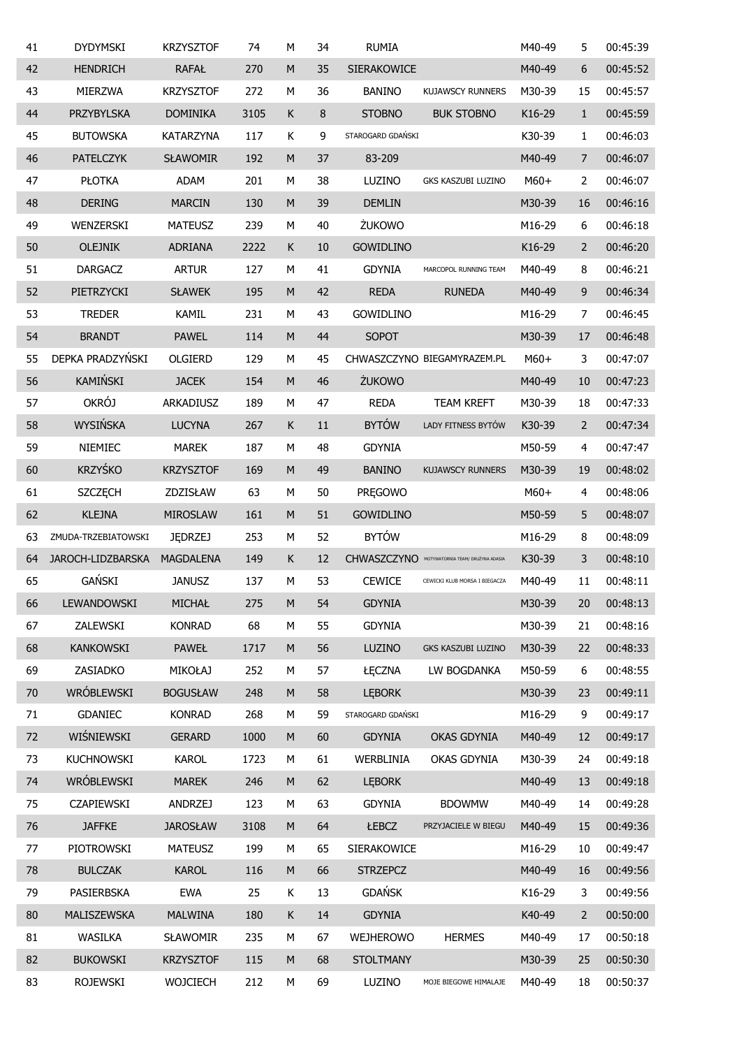| 41 | <b>DYDYMSKI</b>     | <b>KRZYSZTOF</b> | 74   | M         | 34 | <b>RUMIA</b>      |                                               | M40-49 | 5              | 00:45:39 |
|----|---------------------|------------------|------|-----------|----|-------------------|-----------------------------------------------|--------|----------------|----------|
| 42 | <b>HENDRICH</b>     | <b>RAFAŁ</b>     | 270  | M         | 35 | SIERAKOWICE       |                                               | M40-49 | 6              | 00:45:52 |
| 43 | <b>MIERZWA</b>      | <b>KRZYSZTOF</b> | 272  | М         | 36 | <b>BANINO</b>     | <b>KUJAWSCY RUNNERS</b>                       | M30-39 | 15             | 00:45:57 |
| 44 | PRZYBYLSKA          | <b>DOMINIKA</b>  | 3105 | Κ         | 8  | <b>STOBNO</b>     | <b>BUK STOBNO</b>                             | K16-29 | $\mathbf{1}$   | 00:45:59 |
| 45 | <b>BUTOWSKA</b>     | <b>KATARZYNA</b> | 117  | Κ         | 9  | STAROGARD GDAŃSKI |                                               | K30-39 | 1              | 00:46:03 |
| 46 | <b>PATELCZYK</b>    | <b>SŁAWOMIR</b>  | 192  | M         | 37 | 83-209            |                                               | M40-49 | $\overline{7}$ | 00:46:07 |
| 47 | <b>PŁOTKA</b>       | <b>ADAM</b>      | 201  | М         | 38 | LUZINO            | GKS KASZUBI LUZINO                            | $M60+$ | 2              | 00:46:07 |
| 48 | <b>DERING</b>       | <b>MARCIN</b>    | 130  | ${\sf M}$ | 39 | <b>DEMLIN</b>     |                                               | M30-39 | 16             | 00:46:16 |
| 49 | WENZERSKI           | <b>MATEUSZ</b>   | 239  | М         | 40 | ŻUKOWO            |                                               | M16-29 | 6              | 00:46:18 |
| 50 | <b>OLEJNIK</b>      | <b>ADRIANA</b>   | 2222 | Κ         | 10 | <b>GOWIDLINO</b>  |                                               | K16-29 | $\overline{2}$ | 00:46:20 |
| 51 | <b>DARGACZ</b>      | <b>ARTUR</b>     | 127  | М         | 41 | <b>GDYNIA</b>     | MARCOPOL RUNNING TEAM                         | M40-49 | 8              | 00:46:21 |
| 52 | PIETRZYCKI          | <b>SŁAWEK</b>    | 195  | M         | 42 | <b>REDA</b>       | <b>RUNEDA</b>                                 | M40-49 | 9              | 00:46:34 |
| 53 | <b>TREDER</b>       | KAMIL            | 231  | М         | 43 | <b>GOWIDLINO</b>  |                                               | M16-29 | 7              | 00:46:45 |
| 54 | <b>BRANDT</b>       | <b>PAWEL</b>     | 114  | M         | 44 | SOPOT             |                                               | M30-39 | 17             | 00:46:48 |
| 55 | DEPKA PRADZYŃSKI    | OLGIERD          | 129  | М         | 45 |                   | CHWASZCZYNO BIEGAMYRAZEM.PL                   | $M60+$ | 3              | 00:47:07 |
| 56 | KAMIŃSKI            | <b>JACEK</b>     | 154  | M         | 46 | ŻUKOWO            |                                               | M40-49 | 10             | 00:47:23 |
| 57 | <b>OKRÓJ</b>        | ARKADIUSZ        | 189  | М         | 47 | <b>REDA</b>       | <b>TEAM KREFT</b>                             | M30-39 | 18             | 00:47:33 |
| 58 | WYSIŃSKA            | <b>LUCYNA</b>    | 267  | Κ         | 11 | <b>BYTÓW</b>      | LADY FITNESS BYTÓW                            | K30-39 | $\overline{2}$ | 00:47:34 |
| 59 | NIEMIEC             | <b>MAREK</b>     | 187  | М         | 48 | <b>GDYNIA</b>     |                                               | M50-59 | 4              | 00:47:47 |
| 60 | <b>KRZYŚKO</b>      | <b>KRZYSZTOF</b> | 169  | M         | 49 | <b>BANINO</b>     | <b>KUJAWSCY RUNNERS</b>                       | M30-39 | 19             | 00:48:02 |
| 61 | <b>SZCZĘCH</b>      | ZDZISŁAW         | 63   | М         | 50 | <b>PREGOWO</b>    |                                               | $M60+$ | 4              | 00:48:06 |
| 62 | <b>KLEJNA</b>       | <b>MIROSLAW</b>  | 161  | M         | 51 | <b>GOWIDLINO</b>  |                                               | M50-59 | 5              | 00:48:07 |
| 63 | ZMUDA-TRZEBIATOWSKI | <b>JEDRZEJ</b>   | 253  | М         | 52 | <b>BYTÓW</b>      |                                               | M16-29 | 8              | 00:48:09 |
| 64 | JAROCH-LIDZBARSKA   | <b>MAGDALENA</b> | 149  | Κ         | 12 |                   | CHWASZCZYNO MOTYWATORNIA TEAM/ DRUŻYNA ADASIA | K30-39 | 3              | 00:48:10 |
| 65 | GAŃSKI              | <b>JANUSZ</b>    | 137  | M         | 53 | <b>CEWICE</b>     | CEWICKI KLUB MORSA I BIEGACZA                 | M40-49 | 11             | 00:48:11 |
| 66 | LEWANDOWSKI         | MICHAŁ           | 275  | M         | 54 | <b>GDYNIA</b>     |                                               | M30-39 | 20             | 00:48:13 |
| 67 | ZALEWSKI            | <b>KONRAD</b>    | 68   | M         | 55 | <b>GDYNIA</b>     |                                               | M30-39 | 21             | 00:48:16 |
| 68 | <b>KANKOWSKI</b>    | <b>PAWEŁ</b>     | 1717 | M         | 56 | LUZINO            | GKS KASZUBI LUZINO                            | M30-39 | 22             | 00:48:33 |
| 69 | ZASIADKO            | <b>MIKOŁAJ</b>   | 252  | М         | 57 | ŁĘCZNA            | LW BOGDANKA                                   | M50-59 | 6              | 00:48:55 |
| 70 | WRÓBLEWSKI          | <b>BOGUSŁAW</b>  | 248  | M         | 58 | <b>LEBORK</b>     |                                               | M30-39 | 23             | 00:49:11 |
| 71 | GDANIEC             | <b>KONRAD</b>    | 268  | М         | 59 | STAROGARD GDAŃSKI |                                               | M16-29 | 9              | 00:49:17 |
| 72 | WIŚNIEWSKI          | <b>GERARD</b>    | 1000 | M         | 60 | <b>GDYNIA</b>     | OKAS GDYNIA                                   | M40-49 | 12             | 00:49:17 |
| 73 | KUCHNOWSKI          | <b>KAROL</b>     | 1723 | М         | 61 | WERBLINIA         | OKAS GDYNIA                                   | M30-39 | 24             | 00:49:18 |
| 74 | WRÓBLEWSKI          | <b>MAREK</b>     | 246  | M         | 62 | <b>LEBORK</b>     |                                               | M40-49 | 13             | 00:49:18 |
| 75 | <b>CZAPIEWSKI</b>   | <b>ANDRZEJ</b>   | 123  | М         | 63 | <b>GDYNIA</b>     | <b>BDOWMW</b>                                 | M40-49 | 14             | 00:49:28 |
| 76 | <b>JAFFKE</b>       | <b>JAROSŁAW</b>  | 3108 | M         | 64 | ŁEBCZ             | PRZYJACIELE W BIEGU                           | M40-49 | 15             | 00:49:36 |
| 77 | PIOTROWSKI          | <b>MATEUSZ</b>   | 199  | М         | 65 | SIERAKOWICE       |                                               | M16-29 | 10             | 00:49:47 |
| 78 | <b>BULCZAK</b>      | <b>KAROL</b>     | 116  | M         | 66 | <b>STRZEPCZ</b>   |                                               | M40-49 | 16             | 00:49:56 |
| 79 | PASIERBSKA          | <b>EWA</b>       | 25   | K         | 13 | <b>GDAŃSK</b>     |                                               | K16-29 | 3              | 00:49:56 |
| 80 | MALISZEWSKA         | <b>MALWINA</b>   | 180  | К         | 14 | <b>GDYNIA</b>     |                                               | K40-49 | $\overline{2}$ | 00:50:00 |
| 81 | WASILKA             | SŁAWOMIR         | 235  | М         | 67 | WEJHEROWO         | <b>HERMES</b>                                 | M40-49 | 17             | 00:50:18 |
| 82 | <b>BUKOWSKI</b>     | <b>KRZYSZTOF</b> | 115  | M         | 68 | <b>STOLTMANY</b>  |                                               | M30-39 | 25             | 00:50:30 |
| 83 | <b>ROJEWSKI</b>     | WOJCIECH         | 212  | М         | 69 | LUZINO            | MOJE BIEGOWE HIMALAJE                         | M40-49 | 18             | 00:50:37 |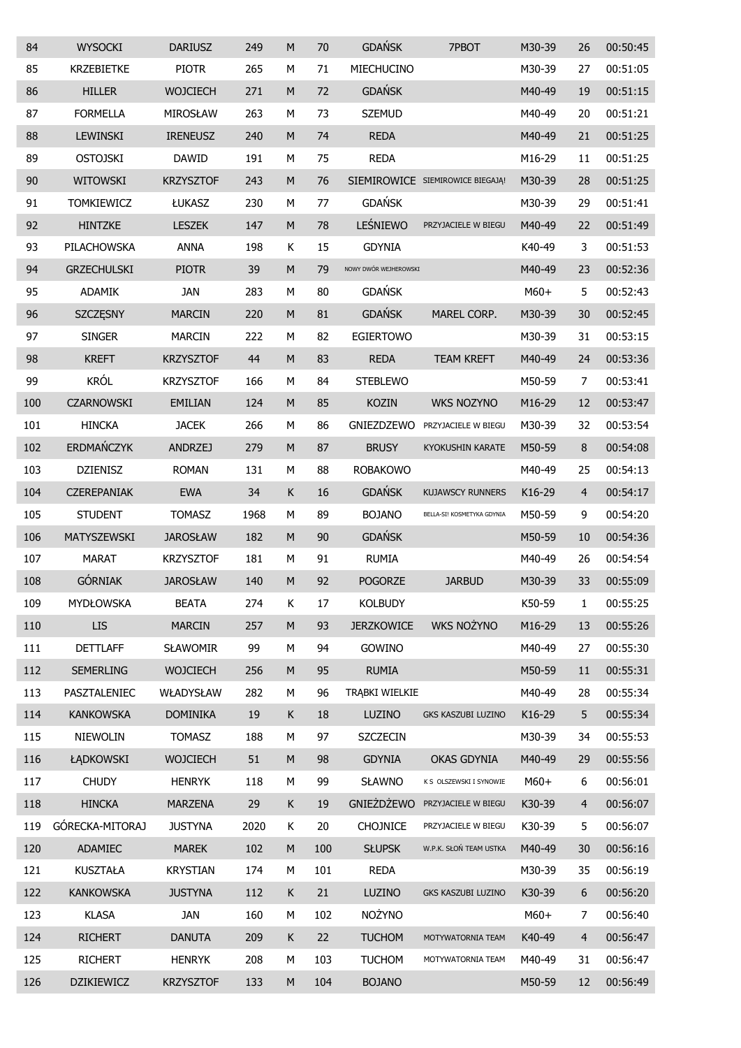| 84  | <b>WYSOCKI</b>     | <b>DARIUSZ</b>   | 249  | M         | 70  | <b>GDAŃSK</b>         | 7PBOT                            | M30-39 | 26             | 00:50:45 |
|-----|--------------------|------------------|------|-----------|-----|-----------------------|----------------------------------|--------|----------------|----------|
| 85  | <b>KRZEBIETKE</b>  | <b>PIOTR</b>     | 265  | М         | 71  | MIECHUCINO            |                                  | M30-39 | 27             | 00:51:05 |
| 86  | <b>HILLER</b>      | <b>WOJCIECH</b>  | 271  | M         | 72  | <b>GDAŃSK</b>         |                                  | M40-49 | 19             | 00:51:15 |
| 87  | <b>FORMELLA</b>    | MIROSŁAW         | 263  | М         | 73  | <b>SZEMUD</b>         |                                  | M40-49 | 20             | 00:51:21 |
| 88  | <b>LEWINSKI</b>    | <b>IRENEUSZ</b>  | 240  | M         | 74  | <b>REDA</b>           |                                  | M40-49 | 21             | 00:51:25 |
| 89  | <b>OSTOJSKI</b>    | <b>DAWID</b>     | 191  | М         | 75  | <b>REDA</b>           |                                  | M16-29 | 11             | 00:51:25 |
| 90  | <b>WITOWSKI</b>    | <b>KRZYSZTOF</b> | 243  | M         | 76  |                       | SIEMIROWICE SIEMIROWICE BIEGAJĄ! | M30-39 | 28             | 00:51:25 |
| 91  | <b>TOMKIEWICZ</b>  | ŁUKASZ           | 230  | М         | 77  | <b>GDAŃSK</b>         |                                  | M30-39 | 29             | 00:51:41 |
| 92  | <b>HINTZKE</b>     | <b>LESZEK</b>    | 147  | M         | 78  | LEŚNIEWO              | PRZYJACIELE W BIEGU              | M40-49 | 22             | 00:51:49 |
| 93  | PILACHOWSKA        | <b>ANNA</b>      | 198  | Κ         | 15  | <b>GDYNIA</b>         |                                  | K40-49 | 3              | 00:51:53 |
| 94  | <b>GRZECHULSKI</b> | <b>PIOTR</b>     | 39   | M         | 79  | NOWY DWÓR WEJHEROWSKI |                                  | M40-49 | 23             | 00:52:36 |
| 95  | <b>ADAMIK</b>      | <b>JAN</b>       | 283  | М         | 80  | <b>GDAŃSK</b>         |                                  | M60+   | 5              | 00:52:43 |
| 96  | SZCZĘSNY           | <b>MARCIN</b>    | 220  | M         | 81  | <b>GDAŃSK</b>         | MAREL CORP.                      | M30-39 | 30             | 00:52:45 |
| 97  | <b>SINGER</b>      | <b>MARCIN</b>    | 222  | М         | 82  | <b>EGIERTOWO</b>      |                                  | M30-39 | 31             | 00:53:15 |
| 98  | <b>KREFT</b>       | <b>KRZYSZTOF</b> | 44   | M         | 83  | <b>REDA</b>           | <b>TEAM KREFT</b>                | M40-49 | 24             | 00:53:36 |
| 99  | <b>KRÓL</b>        | <b>KRZYSZTOF</b> | 166  | М         | 84  | <b>STEBLEWO</b>       |                                  | M50-59 | 7              | 00:53:41 |
| 100 | <b>CZARNOWSKI</b>  | <b>EMILIAN</b>   | 124  | ${\sf M}$ | 85  | <b>KOZIN</b>          | <b>WKS NOZYNO</b>                | M16-29 | 12             | 00:53:47 |
| 101 | <b>HINCKA</b>      | <b>JACEK</b>     | 266  | М         | 86  | GNIEZDZEWO            | PRZYJACIELE W BIEGU              | M30-39 | 32             | 00:53:54 |
| 102 | ERDMAŃCZYK         | <b>ANDRZEJ</b>   | 279  | M         | 87  | <b>BRUSY</b>          | <b>KYOKUSHIN KARATE</b>          | M50-59 | 8              | 00:54:08 |
| 103 | <b>DZIENISZ</b>    | <b>ROMAN</b>     | 131  | М         | 88  | <b>ROBAKOWO</b>       |                                  | M40-49 | 25             | 00:54:13 |
| 104 | <b>CZEREPANIAK</b> | <b>EWA</b>       | 34   | К         | 16  | <b>GDAŃSK</b>         | <b>KUJAWSCY RUNNERS</b>          | K16-29 | $\overline{4}$ | 00:54:17 |
| 105 | <b>STUDENT</b>     | <b>TOMASZ</b>    | 1968 | М         | 89  | <b>BOJANO</b>         | BELLA-SI! KOSMETYKA GDYNIA       | M50-59 | 9              | 00:54:20 |
| 106 | MATYSZEWSKI        | <b>JAROSŁAW</b>  | 182  | M         | 90  | <b>GDAŃSK</b>         |                                  | M50-59 | 10             | 00:54:36 |
| 107 | <b>MARAT</b>       | <b>KRZYSZTOF</b> | 181  | М         | 91  | <b>RUMIA</b>          |                                  | M40-49 | 26             | 00:54:54 |
| 108 | <b>GÓRNIAK</b>     | <b>JAROSŁAW</b>  | 140  | M         | 92  | <b>POGORZE</b>        | <b>JARBUD</b>                    | M30-39 | 33             | 00:55:09 |
| 109 | MYDŁOWSKA          | <b>BEATA</b>     | 274  | К         | 17  | <b>KOLBUDY</b>        |                                  | K50-59 | $\mathbf{1}$   | 00:55:25 |
| 110 | <b>LIS</b>         | <b>MARCIN</b>    | 257  | ${\sf M}$ | 93  | <b>JERZKOWICE</b>     | <b>WKS NOŻYNO</b>                | M16-29 | 13             | 00:55:26 |
| 111 | <b>DETTLAFF</b>    | <b>SŁAWOMIR</b>  | 99   | М         | 94  | GOWINO                |                                  | M40-49 | 27             | 00:55:30 |
| 112 | <b>SEMERLING</b>   | <b>WOJCIECH</b>  | 256  | ${\sf M}$ | 95  | <b>RUMIA</b>          |                                  | M50-59 | $11\,$         | 00:55:31 |
| 113 | PASZTALENIEC       | WŁADYSŁAW        | 282  | М         | 96  | TRĄBKI WIELKIE        |                                  | M40-49 | 28             | 00:55:34 |
| 114 | <b>KANKOWSKA</b>   | <b>DOMINIKA</b>  | 19   | Κ         | 18  | LUZINO                | GKS KASZUBI LUZINO               | K16-29 | 5              | 00:55:34 |
| 115 | NIEWOLIN           | <b>TOMASZ</b>    | 188  | M         | 97  | <b>SZCZECIN</b>       |                                  | M30-39 | 34             | 00:55:53 |
| 116 | ŁĄDKOWSKI          | <b>WOJCIECH</b>  | 51   | ${\sf M}$ | 98  | <b>GDYNIA</b>         | <b>OKAS GDYNIA</b>               | M40-49 | 29             | 00:55:56 |
| 117 | <b>CHUDY</b>       | <b>HENRYK</b>    | 118  | М         | 99  | SŁAWNO                | K S OLSZEWSKI I SYNOWIE          | $M60+$ | 6              | 00:56:01 |
| 118 | <b>HINCKA</b>      | <b>MARZENA</b>   | 29   | $\sf K$   | 19  | <b>GNIEŻDŻEWO</b>     | PRZYJACIELE W BIEGU              | K30-39 | $\overline{4}$ | 00:56:07 |
| 119 | GÓRECKA-MITORAJ    | <b>JUSTYNA</b>   | 2020 | K         | 20  | <b>CHOJNICE</b>       | PRZYJACIELE W BIEGU              | K30-39 | 5              | 00:56:07 |
| 120 | ADAMIEC            | <b>MAREK</b>     | 102  | ${\sf M}$ | 100 | <b>SŁUPSK</b>         | W.P.K. SŁOŃ TEAM USTKA           | M40-49 | 30             | 00:56:16 |
| 121 | <b>KUSZTAŁA</b>    | <b>KRYSTIAN</b>  | 174  | М         | 101 | <b>REDA</b>           |                                  | M30-39 | 35             | 00:56:19 |
| 122 | <b>KANKOWSKA</b>   | <b>JUSTYNA</b>   | 112  | K         | 21  | LUZINO                | GKS KASZUBI LUZINO               | K30-39 | 6              | 00:56:20 |
| 123 | <b>KLASA</b>       | <b>JAN</b>       | 160  | М         | 102 | <b>NOŻYNO</b>         |                                  | $M60+$ | 7              | 00:56:40 |
| 124 | <b>RICHERT</b>     | <b>DANUTA</b>    | 209  | K         | 22  | <b>TUCHOM</b>         | MOTYWATORNIA TEAM                | K40-49 | $\overline{4}$ | 00:56:47 |
| 125 | <b>RICHERT</b>     | <b>HENRYK</b>    | 208  | М         | 103 | <b>TUCHOM</b>         | MOTYWATORNIA TEAM                | M40-49 | 31             | 00:56:47 |
| 126 | <b>DZIKIEWICZ</b>  | <b>KRZYSZTOF</b> | 133  | M         | 104 | <b>BOJANO</b>         |                                  | M50-59 | 12             | 00:56:49 |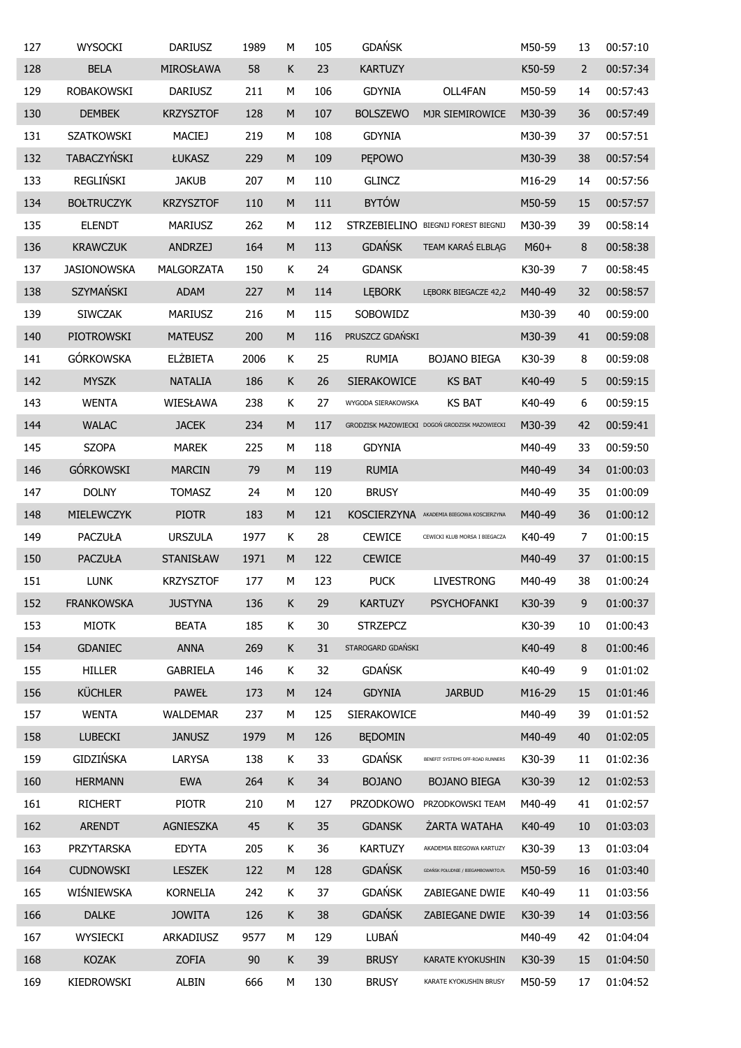| 127 | <b>WYSOCKI</b>     | <b>DARIUSZ</b>   | 1989 | М           | 105 | <b>GDAŃSK</b>      |                                               | M50-59 | 13             | 00:57:10 |
|-----|--------------------|------------------|------|-------------|-----|--------------------|-----------------------------------------------|--------|----------------|----------|
| 128 | <b>BELA</b>        | MIROSŁAWA        | 58   | К           | 23  | <b>KARTUZY</b>     |                                               | K50-59 | $\overline{2}$ | 00:57:34 |
| 129 | <b>ROBAKOWSKI</b>  | <b>DARIUSZ</b>   | 211  | М           | 106 | <b>GDYNIA</b>      | OLL4FAN                                       | M50-59 | 14             | 00:57:43 |
| 130 | <b>DEMBEK</b>      | <b>KRZYSZTOF</b> | 128  | M           | 107 | <b>BOLSZEWO</b>    | MJR SIEMIROWICE                               | M30-39 | 36             | 00:57:49 |
| 131 | <b>SZATKOWSKI</b>  | <b>MACIEJ</b>    | 219  | М           | 108 | <b>GDYNIA</b>      |                                               | M30-39 | 37             | 00:57:51 |
| 132 | TABACZYŃSKI        | ŁUKASZ           | 229  | M           | 109 | <b>PEPOWO</b>      |                                               | M30-39 | 38             | 00:57:54 |
| 133 | <b>REGLIŃSKI</b>   | <b>JAKUB</b>     | 207  | М           | 110 | <b>GLINCZ</b>      |                                               | M16-29 | 14             | 00:57:56 |
| 134 | <b>BOŁTRUCZYK</b>  | <b>KRZYSZTOF</b> | 110  | M           | 111 | <b>BYTÓW</b>       |                                               | M50-59 | 15             | 00:57:57 |
| 135 | <b>ELENDT</b>      | <b>MARIUSZ</b>   | 262  | М           | 112 |                    | STRZEBIELINO BIEGNIJ FOREST BIEGNIJ           | M30-39 | 39             | 00:58:14 |
| 136 | <b>KRAWCZUK</b>    | <b>ANDRZEJ</b>   | 164  | M           | 113 | <b>GDAŃSK</b>      | TEAM KARAŚ ELBLĄG                             | $M60+$ | 8              | 00:58:38 |
| 137 | <b>JASIONOWSKA</b> | MALGORZATA       | 150  | Κ           | 24  | <b>GDANSK</b>      |                                               | K30-39 | 7              | 00:58:45 |
| 138 | SZYMAŃSKI          | <b>ADAM</b>      | 227  | M           | 114 | <b>LEBORK</b>      | LĘBORK BIEGACZE 42,2                          | M40-49 | 32             | 00:58:57 |
| 139 | <b>SIWCZAK</b>     | <b>MARIUSZ</b>   | 216  | М           | 115 | SOBOWIDZ           |                                               | M30-39 | 40             | 00:59:00 |
| 140 | PIOTROWSKI         | <b>MATEUSZ</b>   | 200  | ${\sf M}$   | 116 | PRUSZCZ GDAŃSKI    |                                               | M30-39 | 41             | 00:59:08 |
| 141 | <b>GÓRKOWSKA</b>   | <b>ELŻBIETA</b>  | 2006 | К           | 25  | <b>RUMIA</b>       | <b>BOJANO BIEGA</b>                           | K30-39 | 8              | 00:59:08 |
| 142 | <b>MYSZK</b>       | <b>NATALIA</b>   | 186  | $\sf K$     | 26  | SIERAKOWICE        | <b>KS BAT</b>                                 | K40-49 | 5              | 00:59:15 |
| 143 | <b>WENTA</b>       | WIESŁAWA         | 238  | Κ           | 27  | WYGODA SIERAKOWSKA | <b>KS BAT</b>                                 | K40-49 | 6              | 00:59:15 |
| 144 | <b>WALAC</b>       | <b>JACEK</b>     | 234  | M           | 117 |                    | GRODZISK MAZOWIECKI DOGOŃ GRODZISK MAZOWIECKI | M30-39 | 42             | 00:59:41 |
| 145 | <b>SZOPA</b>       | <b>MAREK</b>     | 225  | М           | 118 | <b>GDYNIA</b>      |                                               | M40-49 | 33             | 00:59:50 |
| 146 | <b>GÓRKOWSKI</b>   | <b>MARCIN</b>    | 79   | ${\sf M}$   | 119 | <b>RUMIA</b>       |                                               | M40-49 | 34             | 01:00:03 |
| 147 | <b>DOLNY</b>       | <b>TOMASZ</b>    | 24   | М           | 120 | <b>BRUSY</b>       |                                               | M40-49 | 35             | 01:00:09 |
| 148 | MIELEWCZYK         | <b>PIOTR</b>     | 183  | ${\sf M}$   | 121 |                    | KOSCIERZYNA AKADEMIA BIEGOWA KOSCIERZYNA      | M40-49 | 36             | 01:00:12 |
| 149 | <b>PACZUŁA</b>     | <b>URSZULA</b>   | 1977 | К           | 28  | <b>CEWICE</b>      | CEWICKI KLUB MORSA I BIEGACZA                 | K40-49 | $\overline{7}$ | 01:00:15 |
| 150 | <b>PACZUŁA</b>     | STANISŁAW        | 1971 | M           | 122 | <b>CEWICE</b>      |                                               | M40-49 | 37             | 01:00:15 |
| 151 | <b>LUNK</b>        | <b>KRZYSZTOF</b> | 177  | М           | 123 | <b>PUCK</b>        | <b>LIVESTRONG</b>                             | M40-49 | 38             | 01:00:24 |
| 152 | <b>FRANKOWSKA</b>  | <b>JUSTYNA</b>   | 136  | К           | 29  | <b>KARTUZY</b>     | PSYCHOFANKI                                   | K30-39 | 9              | 01:00:37 |
| 153 | <b>MIOTK</b>       | <b>BEATA</b>     | 185  | K           | 30  | <b>STRZEPCZ</b>    |                                               | K30-39 | 10             | 01:00:43 |
| 154 | <b>GDANIEC</b>     | <b>ANNA</b>      | 269  | K           | 31  | STAROGARD GDAŃSKI  |                                               | K40-49 | 8              | 01:00:46 |
| 155 | <b>HILLER</b>      | GABRIELA         | 146  | K           | 32  | <b>GDAŃSK</b>      |                                               | K40-49 | 9              | 01:01:02 |
| 156 | <b>KÜCHLER</b>     | <b>PAWEŁ</b>     | 173  | M           | 124 | <b>GDYNIA</b>      | <b>JARBUD</b>                                 | M16-29 | 15             | 01:01:46 |
| 157 | <b>WENTA</b>       | WALDEMAR         | 237  | М           | 125 | SIERAKOWICE        |                                               | M40-49 | 39             | 01:01:52 |
| 158 | <b>LUBECKI</b>     | <b>JANUSZ</b>    | 1979 | M           | 126 | <b>BEDOMIN</b>     |                                               | M40-49 | 40             | 01:02:05 |
| 159 | <b>GIDZIŃSKA</b>   | LARYSA           | 138  | K           | 33  | <b>GDAŃSK</b>      | BENEFIT SYSTEMS OFF-ROAD RUNNERS              | K30-39 | 11             | 01:02:36 |
| 160 | <b>HERMANN</b>     | <b>EWA</b>       | 264  | $\mathsf K$ | 34  | <b>BOJANO</b>      | <b>BOJANO BIEGA</b>                           | K30-39 | 12             | 01:02:53 |
| 161 | <b>RICHERT</b>     | <b>PIOTR</b>     | 210  | М           | 127 | <b>PRZODKOWO</b>   | PRZODKOWSKI TEAM                              | M40-49 | 41             | 01:02:57 |
| 162 | <b>ARENDT</b>      | AGNIESZKA        | 45   | $\mathsf K$ | 35  | <b>GDANSK</b>      | ŻARTA WATAHA                                  | K40-49 | 10             | 01:03:03 |
| 163 | PRZYTARSKA         | <b>EDYTA</b>     | 205  | K           | 36  | <b>KARTUZY</b>     | AKADEMIA BIEGOWA KARTUZY                      | K30-39 | 13             | 01:03:04 |
| 164 | <b>CUDNOWSKI</b>   | <b>LESZEK</b>    | 122  | M           | 128 | <b>GDAŃSK</b>      | GDAŃSK POŁUDNIE / BIEGAMBOWARTO.PL            | M50-59 | 16             | 01:03:40 |
| 165 | WIŚNIEWSKA         | <b>KORNELIA</b>  | 242  | K           | 37  | <b>GDAŃSK</b>      | ZABIEGANE DWIE                                | K40-49 | 11             | 01:03:56 |
| 166 | <b>DALKE</b>       | <b>JOWITA</b>    | 126  | K           | 38  | <b>GDAŃSK</b>      | ZABIEGANE DWIE                                | K30-39 | 14             | 01:03:56 |
| 167 | WYSIECKI           | ARKADIUSZ        | 9577 | М           | 129 | LUBAŃ              |                                               | M40-49 | 42             | 01:04:04 |
| 168 | <b>KOZAK</b>       | <b>ZOFIA</b>     | 90   | K           | 39  | <b>BRUSY</b>       | <b>KARATE KYOKUSHIN</b>                       | K30-39 | 15             | 01:04:50 |
| 169 | KIEDROWSKI         | ALBIN            | 666  | М           | 130 | <b>BRUSY</b>       | KARATE KYOKUSHIN BRUSY                        | M50-59 | 17             | 01:04:52 |